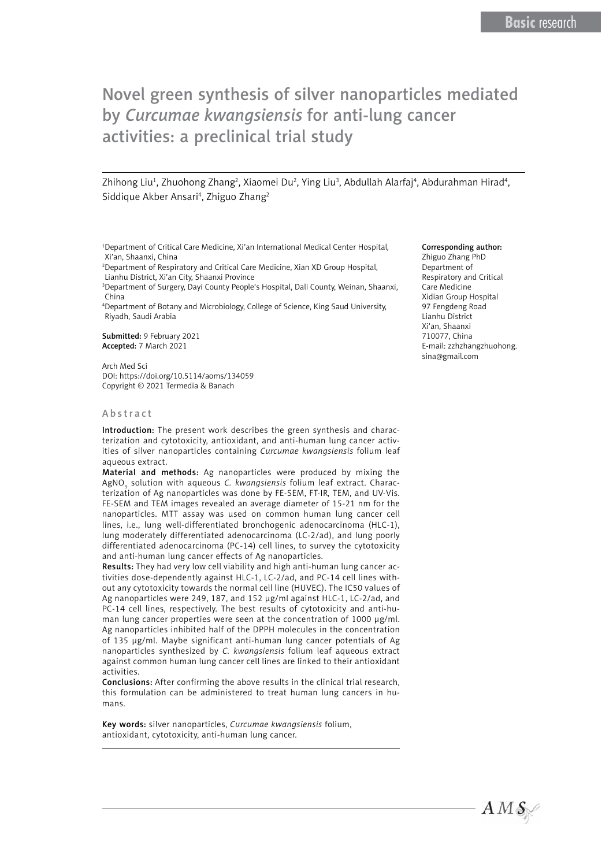# Novel green synthesis of silver nanoparticles mediated by *Curcumae kwangsiensis* for anti-lung cancer activities: a preclinical trial study

Zhihong Liu<sup>1</sup>, Zhuohong Zhang<sup>2</sup>, Xiaomei Du<sup>2</sup>, Ying Liu<sup>3</sup>, Abdullah Alarfaj<sup>4</sup>, Abdurahman Hirad<sup>4</sup>, Siddique Akber Ansari<sup>4</sup>, Zhiguo Zhang<sup>2</sup>

1 Department of Critical Care Medicine, Xi'an International Medical Center Hospital, Xi'an, Shaanxi, China

2 Department of Respiratory and Critical Care Medicine, Xian XD Group Hospital, Lianhu District, Xi'an City, Shaanxi Province

3 Department of Surgery, Dayi County People's Hospital, Dali County, Weinan, Shaanxi, China

4 Department of Botany and Microbiology, College of Science, King Saud University, Riyadh, Saudi Arabia

Submitted: 9 February 2021 Accepted: 7 March 2021

Arch Med Sci DOI: https://doi.org/10.5114/aoms/134059 Copyright © 2021 Termedia & Banach

#### Abstract

Introduction: The present work describes the green synthesis and characterization and cytotoxicity, antioxidant, and anti-human lung cancer activities of silver nanoparticles containing *Curcumae kwangsiensis* folium leaf aqueous extract.

Material and methods: Ag nanoparticles were produced by mixing the AgNO<sub>3</sub> solution with aqueous *C. kwangsiensis* folium leaf extract. Characterization of Ag nanoparticles was done by FE-SEM, FT-IR, TEM, and UV-Vis. FE-SEM and TEM images revealed an average diameter of 15-21 nm for the nanoparticles. MTT assay was used on common human lung cancer cell lines, i.e., lung well-differentiated bronchogenic adenocarcinoma (HLC-1), lung moderately differentiated adenocarcinoma (LC-2/ad), and lung poorly differentiated adenocarcinoma (PC-14) cell lines, to survey the cytotoxicity and anti-human lung cancer effects of Ag nanoparticles.

Results: They had very low cell viability and high anti-human lung cancer activities dose-dependently against HLC-1, LC-2/ad, and PC-14 cell lines without any cytotoxicity towards the normal cell line (HUVEC). The IC50 values of Ag nanoparticles were 249, 187, and 152 µg/ml against HLC-1, LC-2/ad, and PC-14 cell lines, respectively. The best results of cytotoxicity and anti-human lung cancer properties were seen at the concentration of 1000 µg/ml. Ag nanoparticles inhibited half of the DPPH molecules in the concentration of 135 µg/ml. Maybe significant anti-human lung cancer potentials of Ag nanoparticles synthesized by *C. kwangsiensis* folium leaf aqueous extract against common human lung cancer cell lines are linked to their antioxidant activities.

Conclusions: After confirming the above results in the clinical trial research, this formulation can be administered to treat human lung cancers in humans.

Key words: silver nanoparticles, *Curcumae kwangsiensis* folium, antioxidant, cytotoxicity, anti-human lung cancer.

#### Corresponding author:

Zhiguo Zhang PhD Department of Respiratory and Critical Care Medicine Xidian Group Hospital 97 Fengdeng Road Lianhu District Xi'an, Shaanxi 710077, China E-mail: [zzhzhangzhuohong.](mailto:zzhzhangzhuohong.sina@gmail.com) [sina@gmail.com](mailto:zzhzhangzhuohong.sina@gmail.com)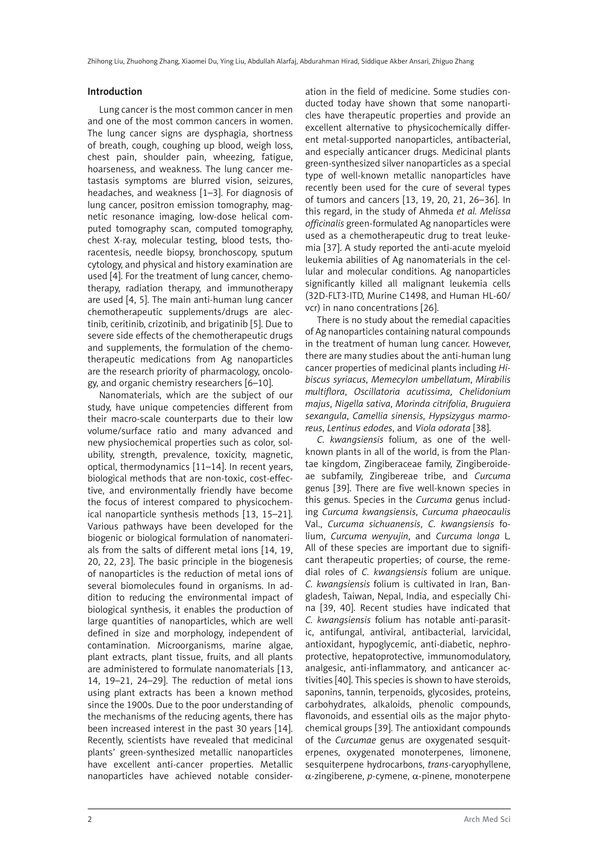#### Introduction

Lung cancer is the most common cancer in men and one of the most common cancers in women. The lung cancer signs are dysphagia, shortness of breath, cough, coughing up blood, weigh loss, chest pain, shoulder pain, wheezing, fatigue, hoarseness, and weakness. The lung cancer metastasis symptoms are blurred vision, seizures, headaches, and weakness [1–3]. For diagnosis of lung cancer, positron emission tomography, magnetic resonance imaging, low-dose helical computed tomography scan, computed tomography, chest X-ray, molecular testing, blood tests, thoracentesis, needle biopsy, bronchoscopy, sputum cytology, and physical and history examination are used [4]. For the treatment of lung cancer, chemotherapy, radiation therapy, and immunotherapy are used [4, 5]. The main anti-human lung cancer chemotherapeutic supplements/drugs are alectinib, ceritinib, crizotinib, and brigatinib [5]. Due to severe side effects of the chemotherapeutic drugs and supplements, the formulation of the chemotherapeutic medications from Ag nanoparticles are the research priority of pharmacology, oncology, and organic chemistry researchers [6–10].

Nanomaterials, which are the subject of our study, have unique competencies different from their macro-scale counterparts due to their low volume/surface ratio and many advanced and new physiochemical properties such as color, solubility, strength, prevalence, toxicity, magnetic, optical, thermodynamics [11–14]. In recent years, biological methods that are non-toxic, cost-effective, and environmentally friendly have become the focus of interest compared to physicochemical nanoparticle synthesis methods [13, 15–21]. Various pathways have been developed for the biogenic or biological formulation of nanomaterials from the salts of different metal ions [14, 19, 20, 22, 23]. The basic principle in the biogenesis of nanoparticles is the reduction of metal ions of several biomolecules found in organisms. In addition to reducing the environmental impact of biological synthesis, it enables the production of large quantities of nanoparticles, which are well defined in size and morphology, independent of contamination. Microorganisms, marine algae, plant extracts, plant tissue, fruits, and all plants are administered to formulate nanomaterials [13, 14, 19–21, 24–29]. The reduction of metal ions using plant extracts has been a known method since the 1900s. Due to the poor understanding of the mechanisms of the reducing agents, there has been increased interest in the past 30 years [14]. Recently, scientists have revealed that medicinal plants' green-synthesized metallic nanoparticles have excellent anti-cancer properties. Metallic nanoparticles have achieved notable consider-

ation in the field of medicine. Some studies conducted today have shown that some nanoparticles have therapeutic properties and provide an excellent alternative to physicochemically different metal-supported nanoparticles, antibacterial, and especially anticancer drugs. Medicinal plants green-synthesized silver nanoparticles as a special type of well-known metallic nanoparticles have recently been used for the cure of several types of tumors and cancers [13, 19, 20, 21, 26–36]. In this regard, in the study of Ahmeda *et al. Melissa officinalis* green-formulated Ag nanoparticles were used as a chemotherapeutic drug to treat leukemia [37]. A study reported the anti-acute myeloid leukemia abilities of Ag nanomaterials in the cellular and molecular conditions. Ag nanoparticles significantly killed all malignant leukemia cells (32D-FLT3-ITD, Murine C1498, and Human HL-60/ vcr) in nano concentrations [26].

There is no study about the remedial capacities of Ag nanoparticles containing natural compounds in the treatment of human lung cancer. However, there are many studies about the anti-human lung cancer properties of medicinal plants including *Hibiscus syriacus*, *Memecylon umbellatum*, *Mirabilis multiflora*, *Oscillatoria acutissima*, *Chelidonium majus*, *Nigella sativa*, *Morinda citrifolia*, *Bruguiera sexangula*, *Camellia sinensis*, *Hypsizygus marmoreus*, *Lentinus edodes*, and *Viola odorata* [38].

*C. kwangsiensis* folium, as one of the wellknown plants in all of the world, is from the Plantae kingdom, Zingiberaceae family, Zingiberoideae subfamily, Zingibereae tribe, and *Curcuma*  genus [39]. There are five well-known species in this genus. Species in the *Curcuma* genus including *Curcuma kwangsiensis*, *Curcuma phaeocaulis* Val., *Curcuma sichuanensis*, *C. kwangsiensis* folium, *Curcuma wenyujin*, and *Curcuma longa* L. All of these species are important due to significant therapeutic properties; of course, the remedial roles of *C. kwangsiensis* folium are unique. *C. kwangsiensis* folium is cultivated in Iran, Bangladesh, Taiwan, Nepal, India, and especially China [39, 40]. Recent studies have indicated that *C. kwangsiensis* folium has notable anti-parasitic, antifungal, antiviral, antibacterial, larvicidal, antioxidant, hypoglycemic, anti-diabetic, nephroprotective, hepatoprotective, immunomodulatory, analgesic, anti-inflammatory, and anticancer activities [40]. This species is shown to have steroids, saponins, tannin, terpenoids, glycosides, proteins, carbohydrates, alkaloids, phenolic compounds, flavonoids, and essential oils as the major phytochemical groups [39]. The antioxidant compounds of the *Curcumae* genus are oxygenated sesquiterpenes, oxygenated monoterpenes, limonene, sesquiterpene hydrocarbons, *trans*-caryophyllene, α-zingiberene, *p*-cymene, α-pinene, monoterpene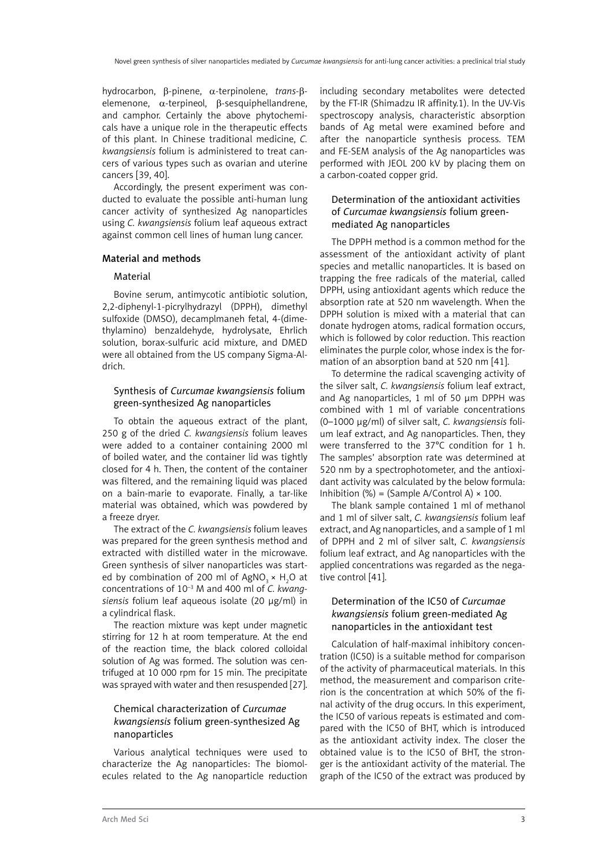hydrocarbon, β-pinene, α-terpinolene, *trans*-βelemenone, α-terpineol, β-sesquiphellandrene, and camphor. Certainly the above phytochemicals have a unique role in the therapeutic effects of this plant. In Chinese traditional medicine, *C. kwangsiensis* folium is administered to treat cancers of various types such as ovarian and uterine cancers [39, 40].

Accordingly, the present experiment was conducted to evaluate the possible anti-human lung cancer activity of synthesized Ag nanoparticles using *C. kwangsiensis* folium leaf aqueous extract against common cell lines of human lung cancer.

#### Material and methods

#### Material

Bovine serum, antimycotic antibiotic solution, 2,2-diphenyl-1-picrylhydrazyl (DPPH), dimethyl sulfoxide (DMSO), decamplmaneh fetal, 4-(dimethylamino) benzaldehyde, hydrolysate, Ehrlich solution, borax-sulfuric acid mixture, and DMED were all obtained from the US company Sigma-Aldrich.

# Synthesis of *Curcumae kwangsiensis* folium green-synthesized Ag nanoparticles

To obtain the aqueous extract of the plant, 250 g of the dried *C. kwangsiensis* folium leaves were added to a container containing 2000 ml of boiled water, and the container lid was tightly closed for 4 h. Then, the content of the container was filtered, and the remaining liquid was placed on a bain-marie to evaporate. Finally, a tar-like material was obtained, which was powdered by a freeze dryer.

The extract of the *C. kwangsiensis* folium leaves was prepared for the green synthesis method and extracted with distilled water in the microwave. Green synthesis of silver nanoparticles was started by combination of 200 ml of AgNO<sub>3</sub> × H<sub>2</sub>O at concentrations of 10–3 M and 400 ml of *C. kwangsiensis* folium leaf aqueous isolate (20 µg/ml) in a cylindrical flask.

The reaction mixture was kept under magnetic stirring for 12 h at room temperature. At the end of the reaction time, the black colored colloidal solution of Ag was formed. The solution was centrifuged at 10 000 rpm for 15 min. The precipitate was sprayed with water and then resuspended [27].

# Chemical characterization of *Curcumae kwangsiensis* folium green-synthesized Ag nanoparticles

Various analytical techniques were used to characterize the Ag nanoparticles: The biomolecules related to the Ag nanoparticle reduction including secondary metabolites were detected by the FT-IR (Shimadzu IR affinity.1). In the UV-Vis spectroscopy analysis, characteristic absorption bands of Ag metal were examined before and after the nanoparticle synthesis process. TEM and FE-SEM analysis of the Ag nanoparticles was performed with JEOL 200 kV by placing them on a carbon-coated copper grid.

# Determination of the antioxidant activities of *Curcumae kwangsiensis* folium greenmediated Ag nanoparticles

The DPPH method is a common method for the assessment of the antioxidant activity of plant species and metallic nanoparticles. It is based on trapping the free radicals of the material, called DPPH, using antioxidant agents which reduce the absorption rate at 520 nm wavelength. When the DPPH solution is mixed with a material that can donate hydrogen atoms, radical formation occurs, which is followed by color reduction. This reaction eliminates the purple color, whose index is the formation of an absorption band at 520 nm [41].

To determine the radical scavenging activity of the silver salt, *C. kwangsiensis* folium leaf extract, and Ag nanoparticles, 1 ml of 50 µm DPPH was combined with 1 ml of variable concentrations (0–1000 µg/ml) of silver salt, *C. kwangsiensis* folium leaf extract, and Ag nanoparticles. Then, they were transferred to the 37°C condition for 1 h. The samples' absorption rate was determined at 520 nm by a spectrophotometer, and the antioxidant activity was calculated by the below formula: Inhibition (%) = (Sample A/Control A)  $\times$  100.

The blank sample contained 1 ml of methanol and 1 ml of silver salt, *C. kwangsiensis* folium leaf extract, and Ag nanoparticles, and a sample of 1 ml of DPPH and 2 ml of silver salt, *C. kwangsiensis*  folium leaf extract, and Ag nanoparticles with the applied concentrations was regarded as the negative control [41].

# Determination of the IC50 of *Curcumae kwangsiensis* folium green-mediated Ag nanoparticles in the antioxidant test

Calculation of half-maximal inhibitory concentration (IC50) is a suitable method for comparison of the activity of pharmaceutical materials. In this method, the measurement and comparison criterion is the concentration at which 50% of the final activity of the drug occurs. In this experiment, the IC50 of various repeats is estimated and compared with the IC50 of BHT, which is introduced as the antioxidant activity index. The closer the obtained value is to the IC50 of BHT, the stronger is the antioxidant activity of the material. The graph of the IC50 of the extract was produced by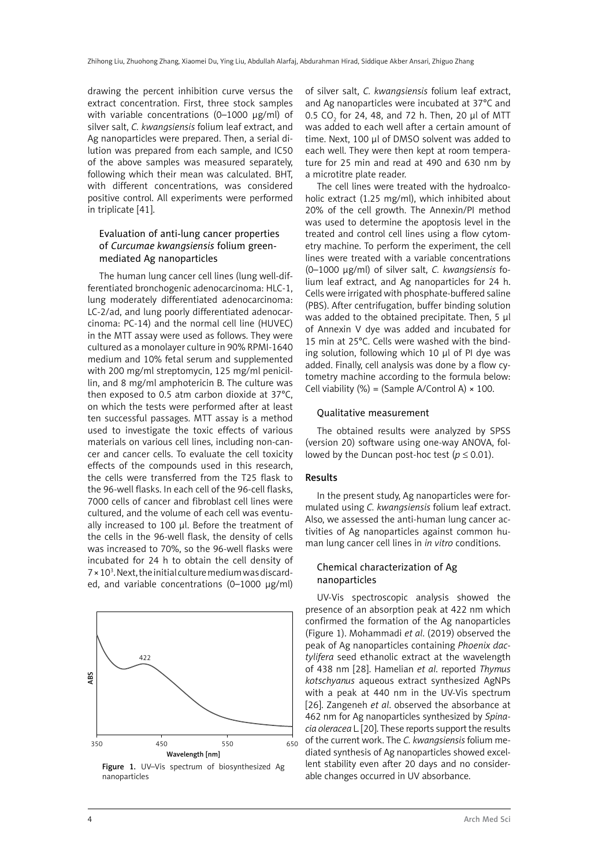drawing the percent inhibition curve versus the extract concentration. First, three stock samples with variable concentrations (0-1000 ug/ml) of silver salt, *C. kwangsiensis* folium leaf extract, and Ag nanoparticles were prepared. Then, a serial dilution was prepared from each sample, and IC50 of the above samples was measured separately, following which their mean was calculated. BHT, with different concentrations, was considered positive control. All experiments were performed in triplicate [41].

#### Evaluation of anti-lung cancer properties of *Curcumae kwangsiensis* folium greenmediated Ag nanoparticles

The human lung cancer cell lines (lung well-differentiated bronchogenic adenocarcinoma: HLC-1, lung moderately differentiated adenocarcinoma: LC-2/ad, and lung poorly differentiated adenocarcinoma: PC-14) and the normal cell line (HUVEC) in the MTT assay were used as follows. They were cultured as a monolayer culture in 90% RPMI-1640 medium and 10% fetal serum and supplemented with 200 mg/ml streptomycin, 125 mg/ml penicillin, and 8 mg/ml amphotericin B. The culture was then exposed to 0.5 atm carbon dioxide at 37°C, on which the tests were performed after at least ten successful passages. MTT assay is a method used to investigate the toxic effects of various materials on various cell lines, including non-cancer and cancer cells. To evaluate the cell toxicity effects of the compounds used in this research, the cells were transferred from the T25 flask to the 96-well flasks. In each cell of the 96-cell flasks, 7000 cells of cancer and fibroblast cell lines were cultured, and the volume of each cell was eventually increased to 100 µl. Before the treatment of the cells in the 96-well flask, the density of cells was increased to 70%, so the 96-well flasks were incubated for 24 h to obtain the cell density of  $7 \times 10^3$ . Next, the initial culture medium was discarded, and variable concentrations (0–1000 µg/ml)



Figure 1. UV–Vis spectrum of biosynthesized Ag nanoparticles

of silver salt, *C. kwangsiensis* folium leaf extract, and Ag nanoparticles were incubated at 37°C and 0.5 CO $_{2}$  for 24, 48, and 72 h. Then, 20  $\mu$ l of MTT was added to each well after a certain amount of time. Next, 100 µl of DMSO solvent was added to each well. They were then kept at room temperature for 25 min and read at 490 and 630 nm by a microtitre plate reader.

The cell lines were treated with the hydroalcoholic extract (1.25 mg/ml), which inhibited about 20% of the cell growth. The Annexin/PI method was used to determine the apoptosis level in the treated and control cell lines using a flow cytometry machine. To perform the experiment, the cell lines were treated with a variable concentrations (0–1000 µg/ml) of silver salt, *C. kwangsiensis* folium leaf extract, and Ag nanoparticles for 24 h. Cells were irrigated with phosphate-buffered saline (PBS). After centrifugation, buffer binding solution was added to the obtained precipitate. Then, 5 µl of Annexin V dye was added and incubated for 15 min at 25°C. Cells were washed with the binding solution, following which 10 µl of PI dye was added. Finally, cell analysis was done by a flow cytometry machine according to the formula below: Cell viability  $(\%)$  = (Sample A/Control A)  $\times$  100.

#### Qualitative measurement

The obtained results were analyzed by SPSS (version 20) software using one-way ANOVA, followed by the Duncan post-hoc test ( $p \le 0.01$ ).

# Results

In the present study, Ag nanoparticles were formulated using *C. kwangsiensis* folium leaf extract. Also, we assessed the anti-human lung cancer activities of Ag nanoparticles against common human lung cancer cell lines in *in vitro* conditions.

#### Chemical characterization of Ag nanoparticles

UV-Vis spectroscopic analysis showed the presence of an absorption peak at 422 nm which confirmed the formation of the Ag nanoparticles (Figure 1). Mohammadi *et al*. (2019) observed the peak of Ag nanoparticles containing *Phoenix dactylifera* seed ethanolic extract at the wavelength of 438 nm [28]. Hamelian *et al*. reported *Thymus kotschyanus* aqueous extract synthesized AgNPs with a peak at 440 nm in the UV-Vis spectrum [26]. Zangeneh *et al*. observed the absorbance at 462 nm for Ag nanoparticles synthesized by *Spinacia oleracea* L. [20]. These reports support the results of the current work. The *C. kwangsiensis* folium mediated synthesis of Ag nanoparticles showed excellent stability even after 20 days and no considerable changes occurred in UV absorbance.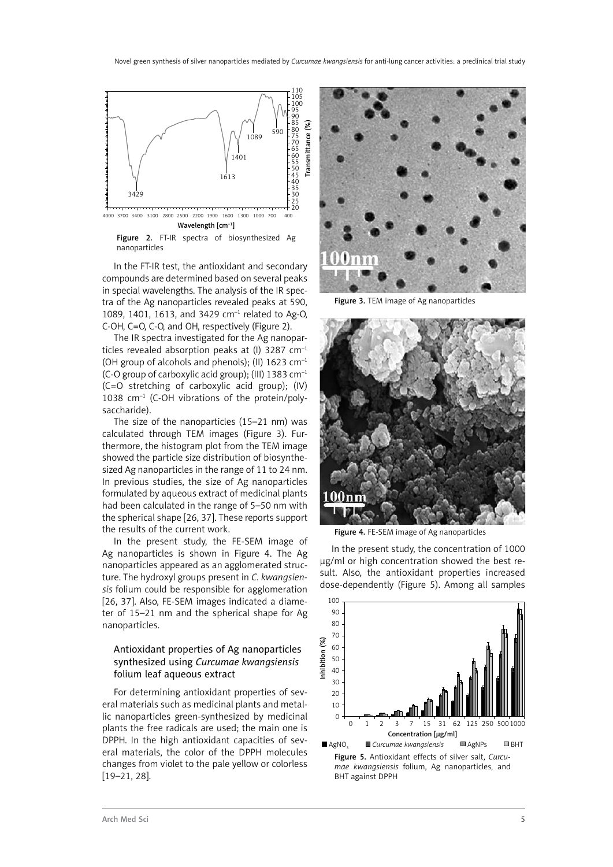

Figure 2. FT-IR spectra of biosynthesized Ag nanoparticles

In the FT-IR test, the antioxidant and secondary compounds are determined based on several peaks in special wavelengths. The analysis of the IR spectra of the Ag nanoparticles revealed peaks at 590, 1089, 1401, 1613, and 3429 cm–1 related to Ag-O, C-OH, C=O, C-O, and OH, respectively (Figure 2).

The IR spectra investigated for the Ag nanoparticles revealed absorption peaks at (I) 3287  $cm^{-1}$ (OH group of alcohols and phenols); (II) 1623 cm–1 (C-O group of carboxylic acid group); (III) 1383 cm–1 (C=O stretching of carboxylic acid group); (IV) 1038 cm–1 (C-OH vibrations of the protein/polysaccharide).

The size of the nanoparticles (15–21 nm) was calculated through TEM images (Figure 3). Furthermore, the histogram plot from the TEM image showed the particle size distribution of biosynthesized Ag nanoparticles in the range of 11 to 24 nm. In previous studies, the size of Ag nanoparticles formulated by aqueous extract of medicinal plants had been calculated in the range of 5–50 nm with the spherical shape [26, 37]. These reports support the results of the current work.

In the present study, the FE-SEM image of Ag nanoparticles is shown in Figure 4. The Ag nanoparticles appeared as an agglomerated structure. The hydroxyl groups present in *C. kwangsiensis* folium could be responsible for agglomeration [26, 37]. Also, FE-SEM images indicated a diameter of 15–21 nm and the spherical shape for Ag nanoparticles.

# Antioxidant properties of Ag nanoparticles synthesized using *Curcumae kwangsiensis* folium leaf aqueous extract

For determining antioxidant properties of several materials such as medicinal plants and metallic nanoparticles green-synthesized by medicinal plants the free radicals are used; the main one is DPPH. In the high antioxidant capacities of several materials, the color of the DPPH molecules changes from violet to the pale yellow or colorless [19–21, 28].



Figure 3. TEM image of Ag nanoparticles



Figure 4. FE-SEM image of Ag nanoparticles

In the present study, the concentration of 1000 µg/ml or high concentration showed the best result. Also, the antioxidant properties increased dose-dependently (Figure 5). Among all samples

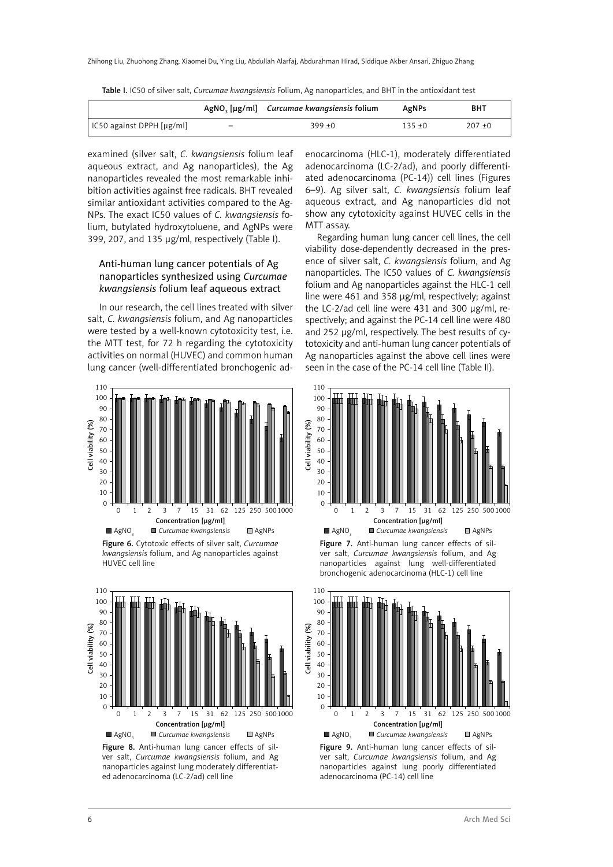|                           |                          | AgNO <sub>2</sub> [µg/ml] Curcumae kwangsiensis folium | AgNPs     | <b>BHT</b> |
|---------------------------|--------------------------|--------------------------------------------------------|-----------|------------|
| IC50 against DPPH [µg/ml] | $\overline{\phantom{a}}$ | $399 + 0$                                              | $135 + 0$ | $207 + 0$  |

Table I. IC50 of silver salt, *Curcumae kwangsiensis* Folium, Ag nanoparticles, and BHT in the antioxidant test

examined (silver salt, *C. kwangsiensis* folium leaf aqueous extract, and Ag nanoparticles), the Ag nanoparticles revealed the most remarkable inhibition activities against free radicals. BHT revealed similar antioxidant activities compared to the Ag-NPs. The exact IC50 values of *C. kwangsiensis* folium, butylated hydroxytoluene, and AgNPs were 399, 207, and 135 µg/ml, respectively (Table I).

# Anti-human lung cancer potentials of Ag nanoparticles synthesized using *Curcumae kwangsiensis* folium leaf aqueous extract

In our research, the cell lines treated with silver salt, *C. kwangsiensis* folium, and Ag nanoparticles were tested by a well-known cytotoxicity test, i.e. the MTT test, for 72 h regarding the cytotoxicity activities on normal (HUVEC) and common human lung cancer (well-differentiated bronchogenic ad-



Figure 6. Cytotoxic effects of silver salt, *Curcumae kwangsiensis* folium, and Ag nanoparticles against HUVEC cell line



Figure 8. Anti-human lung cancer effects of silver salt, *Curcumae kwangsiensis* folium, and Ag nanoparticles against lung moderately differentiated adenocarcinoma (LC-2/ad) cell line

enocarcinoma (HLC-1), moderately differentiated adenocarcinoma (LC-2/ad), and poorly differentiated adenocarcinoma (PC-14)) cell lines (Figures 6–9). Ag silver salt, *C. kwangsiensis* folium leaf aqueous extract, and Ag nanoparticles did not show any cytotoxicity against HUVEC cells in the MTT assay.

Regarding human lung cancer cell lines, the cell viability dose-dependently decreased in the presence of silver salt, *C. kwangsiensis* folium, and Ag nanoparticles. The IC50 values of *C. kwangsiensis*  folium and Ag nanoparticles against the HLC-1 cell line were 461 and 358 µg/ml, respectively; against the LC-2/ad cell line were 431 and 300 µg/ml, respectively; and against the PC-14 cell line were 480 and 252 µg/ml, respectively. The best results of cytotoxicity and anti-human lung cancer potentials of Ag nanoparticles against the above cell lines were seen in the case of the PC-14 cell line (Table II).







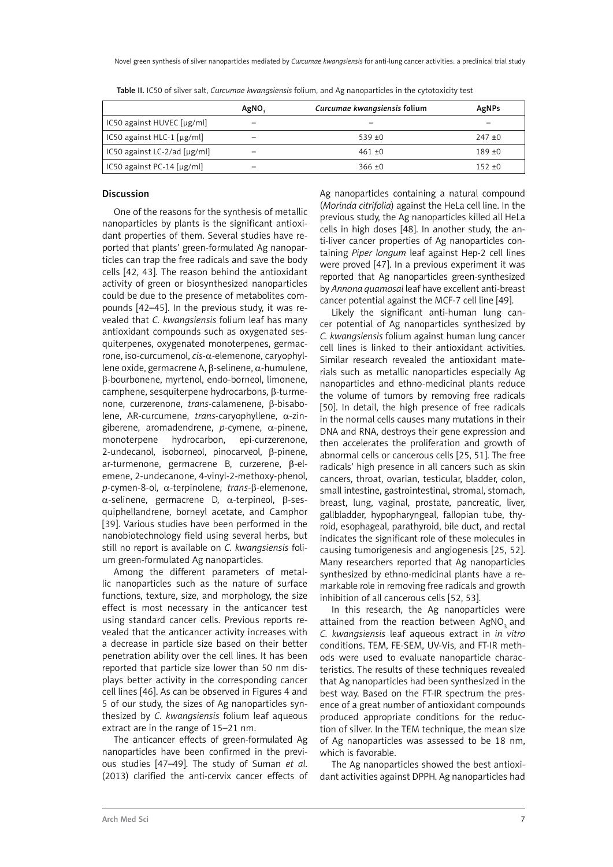|                                   | AgNO. | Curcumae kwangsiensis folium | AgNPs     |
|-----------------------------------|-------|------------------------------|-----------|
| $IC50$ against HUVEC $[µg/ml]$    |       |                              |           |
| IC50 against HLC-1 $[\mu g/ml]$   | -     | $539 + 0$                    | $247 + 0$ |
| IC50 against LC-2/ad $[\mu$ g/ml] | -     | $461 + 0$                    | $189 + 0$ |
| IC50 against PC-14 $[\mu g/ml]$   | -     | $366 \pm 0$                  | $152 + 0$ |

Table II. IC50 of silver salt, *Curcumae kwangsiensis* folium, and Ag nanoparticles in the cytotoxicity test

# Discussion

One of the reasons for the synthesis of metallic nanoparticles by plants is the significant antioxidant properties of them. Several studies have reported that plants' green-formulated Ag nanoparticles can trap the free radicals and save the body cells [42, 43]. The reason behind the antioxidant activity of green or biosynthesized nanoparticles could be due to the presence of metabolites compounds [42–45]. In the previous study, it was revealed that *C. kwangsiensis* folium leaf has many antioxidant compounds such as oxygenated sesquiterpenes, oxygenated monoterpenes, germacrone, iso-curcumenol, *cis*-α-elemenone, caryophyllene oxide, germacrene A, β-selinene, α-humulene, β-bourbonene, myrtenol, endo-borneol, limonene, camphene, sesquiterpene hydrocarbons, β-turmenone, curzerenone, *trans*-calamenene, β-bisabolene, AR-curcumene, *trans*-caryophyllene, α-zingiberene, aromadendrene, *p*-cymene, α-pinene, monoterpene hydrocarbon, epi-curzerenone, 2-undecanol, isoborneol, pinocarveol, β-pinene, ar-turmenone, germacrene B, curzerene, β-elemene, 2-undecanone, 4-vinyl-2-methoxy-phenol, *p*-cymen-8-ol, α-terpinolene, *trans*-β-elemenone, α-selinene, germacrene D, α-terpineol, β-sesquiphellandrene, borneyl acetate, and Camphor [39]. Various studies have been performed in the nanobiotechnology field using several herbs, but still no report is available on *C. kwangsiensis* folium green-formulated Ag nanoparticles.

Among the different parameters of metallic nanoparticles such as the nature of surface functions, texture, size, and morphology, the size effect is most necessary in the anticancer test using standard cancer cells. Previous reports revealed that the anticancer activity increases with a decrease in particle size based on their better penetration ability over the cell lines. It has been reported that particle size lower than 50 nm displays better activity in the corresponding cancer cell lines [46]. As can be observed in Figures 4 and 5 of our study, the sizes of Ag nanoparticles synthesized by *C. kwangsiensis* folium leaf aqueous extract are in the range of 15–21 nm.

The anticancer effects of green-formulated Ag nanoparticles have been confirmed in the previous studies [47–49]. The study of Suman *et al*. (2013) clarified the anti-cervix cancer effects of

Ag nanoparticles containing a natural compound (*Morinda citrifolia*) against the HeLa cell line. In the previous study, the Ag nanoparticles killed all HeLa cells in high doses [48]. In another study, the anti-liver cancer properties of Ag nanoparticles containing *Piper longum* leaf against Hep-2 cell lines were proved [47]. In a previous experiment it was reported that Ag nanoparticles green-synthesized by *Annona quamosal* leaf have excellent anti-breast cancer potential against the MCF-7 cell line [49].

Likely the significant anti-human lung cancer potential of Ag nanoparticles synthesized by *C. kwangsiensis* folium against human lung cancer cell lines is linked to their antioxidant activities. Similar research revealed the antioxidant materials such as metallic nanoparticles especially Ag nanoparticles and ethno-medicinal plants reduce the volume of tumors by removing free radicals [50]. In detail, the high presence of free radicals in the normal cells causes many mutations in their DNA and RNA, destroys their gene expression and then accelerates the proliferation and growth of abnormal cells or cancerous cells [25, 51]. The free radicals' high presence in all cancers such as skin cancers, throat, ovarian, testicular, bladder, colon, small intestine, gastrointestinal, stromal, stomach, breast, lung, vaginal, prostate, pancreatic, liver, gallbladder, hypopharyngeal, fallopian tube, thyroid, esophageal, parathyroid, bile duct, and rectal indicates the significant role of these molecules in causing tumorigenesis and angiogenesis [25, 52]. Many researchers reported that Ag nanoparticles synthesized by ethno-medicinal plants have a remarkable role in removing free radicals and growth inhibition of all cancerous cells [52, 53].

In this research, the Ag nanoparticles were attained from the reaction between AgNO<sub>3</sub> and *C. kwangsiensis* leaf aqueous extract in *in vitro* conditions. TEM, FE-SEM, UV-Vis, and FT-IR methods were used to evaluate nanoparticle characteristics. The results of these techniques revealed that Ag nanoparticles had been synthesized in the best way. Based on the FT-IR spectrum the presence of a great number of antioxidant compounds produced appropriate conditions for the reduction of silver. In the TEM technique, the mean size of Ag nanoparticles was assessed to be 18 nm, which is favorable.

The Ag nanoparticles showed the best antioxidant activities against DPPH. Ag nanoparticles had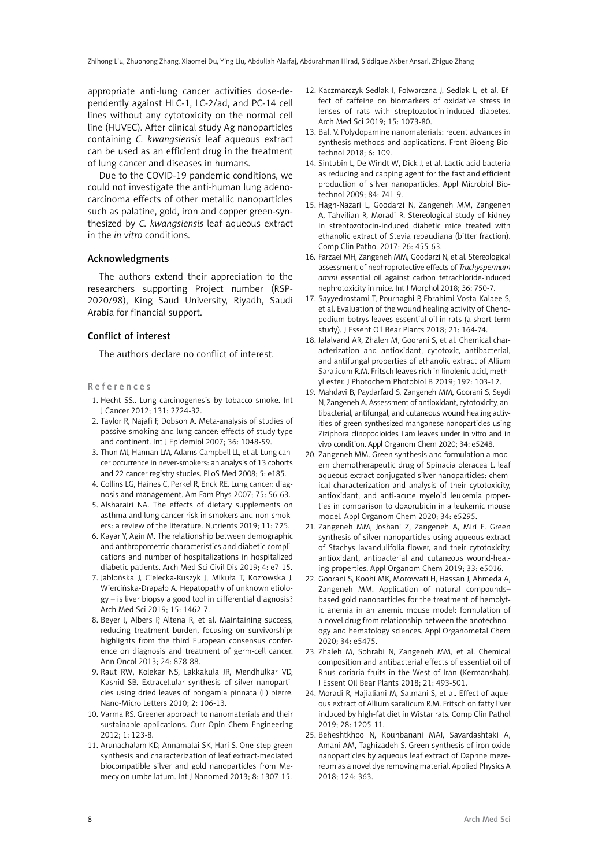appropriate anti-lung cancer activities dose-dependently against HLC-1, LC-2/ad, and PC-14 cell lines without any cytotoxicity on the normal cell line (HUVEC). After clinical study Ag nanoparticles containing *C. kwangsiensis* leaf aqueous extract can be used as an efficient drug in the treatment of lung cancer and diseases in humans.

Due to the COVID-19 pandemic conditions, we could not investigate the anti-human lung adenocarcinoma effects of other metallic nanoparticles such as palatine, gold, iron and copper green-synthesized by *C. kwangsiensis* leaf aqueous extract in the *in vitro* conditions.

#### Acknowledgments

The authors extend their appreciation to the researchers supporting Project number (RSP-2020/98), King Saud University, Riyadh, Saudi Arabia for financial support.

#### Conflict of interest

The authors declare no conflict of interest.

#### References

- 1. Hecht SS.. Lung carcinogenesis by tobacco smoke. Int J Cancer 2012; 131: 2724-32.
- 2. Taylor R, Najafi F, Dobson A. Meta-analysis of studies of passive smoking and lung cancer: effects of study type and continent. Int J Epidemiol 2007; 36: 1048-59.
- 3. Thun MJ, Hannan LM, Adams-Campbell LL, et al. Lung cancer occurrence in never-smokers: an analysis of 13 cohorts and 22 cancer registry studies. PLoS Med 2008; 5: e185.
- 4. Collins LG, Haines C, Perkel R, Enck RE. Lung cancer: diagnosis and management. Am Fam Phys 2007; 75: 56-63.
- 5. Alsharairi NA. The effects of dietary supplements on asthma and lung cancer risk in smokers and non-smokers: a review of the literature. Nutrients 2019; 11: 725.
- 6. Kayar Y, Agin M. The relationship between demographic and anthropometric characteristics and diabetic complications and number of hospitalizations in hospitalized diabetic patients. Arch Med Sci Civil Dis 2019; 4: e7-15.
- 7. Jabłońska J, Cielecka-Kuszyk J, Mikuła T, Kozłowska J, Wiercińska-Drapało A. Hepatopathy of unknown etiology – is liver biopsy a good tool in differential diagnosis? Arch Med Sci 2019; 15: 1462-7.
- 8. Beyer J, Albers P, Altena R, et al. Maintaining success, reducing treatment burden, focusing on survivorship: highlights from the third European consensus conference on diagnosis and treatment of germ-cell cancer. Ann Oncol 2013; 24: 878-88.
- 9. Raut RW, Kolekar NS, Lakkakula JR, Mendhulkar VD, Kashid SB. Extracellular synthesis of silver nanoparticles using dried leaves of pongamia pinnata (L) pierre. Nano-Micro Letters 2010; 2: 106-13.
- 10. Varma RS. Greener approach to nanomaterials and their sustainable applications. Curr Opin Chem Engineering 2012; 1: 123-8.
- 11. Arunachalam KD, Annamalai SK, Hari S. One-step green synthesis and characterization of leaf extract-mediated biocompatible silver and gold nanoparticles from Memecylon umbellatum. Int J Nanomed 2013; 8: 1307-15.
- 12. Kaczmarczyk-Sedlak I, Folwarczna J, Sedlak L, et al. Effect of caffeine on biomarkers of oxidative stress in lenses of rats with streptozotocin-induced diabetes. Arch Med Sci 2019; 15: 1073-80.
- 13. Ball V. Polydopamine nanomaterials: recent advances in synthesis methods and applications. Front Bioeng Biotechnol 2018; 6: 109.
- 14. Sintubin L, De Windt W, Dick J, et al. Lactic acid bacteria as reducing and capping agent for the fast and efficient production of silver nanoparticles. Appl Microbiol Biotechnol 2009; 84: 741-9.
- 15. Hagh-Nazari L, Goodarzi N, Zangeneh MM, Zangeneh A, Tahvilian R, Moradi R. Stereological study of kidney in streptozotocin-induced diabetic mice treated with ethanolic extract of Stevia rebaudiana (bitter fraction). Comp Clin Pathol 2017; 26: 455-63.
- 16. Farzaei MH, Zangeneh MM, Goodarzi N, et al. Stereological assessment of nephroprotective effects of *Trachyspermum ammi* essential oil against carbon tetrachloride-induced nephrotoxicity in mice. Int J Morphol 2018; 36: 750-7.
- 17. Sayyedrostami T, Pournaghi P, Ebrahimi Vosta-Kalaee S, et al. Evaluation of the wound healing activity of Chenopodium botrys leaves essential oil in rats (a short-term study). J Essent Oil Bear Plants 2018; 21: 164-74.
- 18. Jalalvand AR, Zhaleh M, Goorani S, et al. Chemical characterization and antioxidant, cytotoxic, antibacterial, and antifungal properties of ethanolic extract of Allium Saralicum R.M. Fritsch leaves rich in linolenic acid, methyl ester. J Photochem Photobiol B 2019; 192: 103-12.
- 19. Mahdavi B, Paydarfard S, Zangeneh MM, Goorani S, Seydi N, Zangeneh A. Assessment of antioxidant, cytotoxicity, antibacterial, antifungal, and cutaneous wound healing activities of green synthesized manganese nanoparticles using Ziziphora clinopodioides Lam leaves under in vitro and in vivo condition. Appl Organom Chem 2020; 34: e5248.
- 20. Zangeneh MM. Green synthesis and formulation a modern chemotherapeutic drug of Spinacia oleracea L. leaf aqueous extract conjugated silver nanoparticles: chemical characterization and analysis of their cytotoxicity, antioxidant, and anti-acute myeloid leukemia properties in comparison to doxorubicin in a leukemic mouse model. Appl Organom Chem 2020; 34: e5295.
- 21. Zangeneh MM, Joshani Z, Zangeneh A, Miri E. Green synthesis of silver nanoparticles using aqueous extract of Stachys lavandulifolia flower, and their cytotoxicity, antioxidant, antibacterial and cutaneous wound-healing properties. Appl Organom Chem 2019; 33: e5016.
- 22. Goorani S, Koohi MK, Morovvati H, Hassan J, Ahmeda A, Zangeneh MM. Application of natural compounds– based gold nanoparticles for the treatment of hemolytic anemia in an anemic mouse model: formulation of a novel drug from relationship between the anotechnology and hematology sciences. Appl Organometal Chem 2020; 34: e5475.
- 23. Zhaleh M, Sohrabi N, Zangeneh MM, et al. Chemical composition and antibacterial effects of essential oil of Rhus coriaria fruits in the West of Iran (Kermanshah). J Essent Oil Bear Plants 2018; 21: 493-501.
- 24. Moradi R, Hajialiani M, Salmani S, et al. Effect of aqueous extract of Allium saralicum R.M. Fritsch on fatty liver induced by high-fat diet in Wistar rats. Comp Clin Pathol 2019; 28: 1205-11.
- 25. Beheshtkhoo N, Kouhbanani MAJ, Savardashtaki A, Amani AM, Taghizadeh S. Green synthesis of iron oxide nanoparticles by aqueous leaf extract of Daphne mezereum as a novel dye removing material. Applied Physics A 2018; 124: 363.